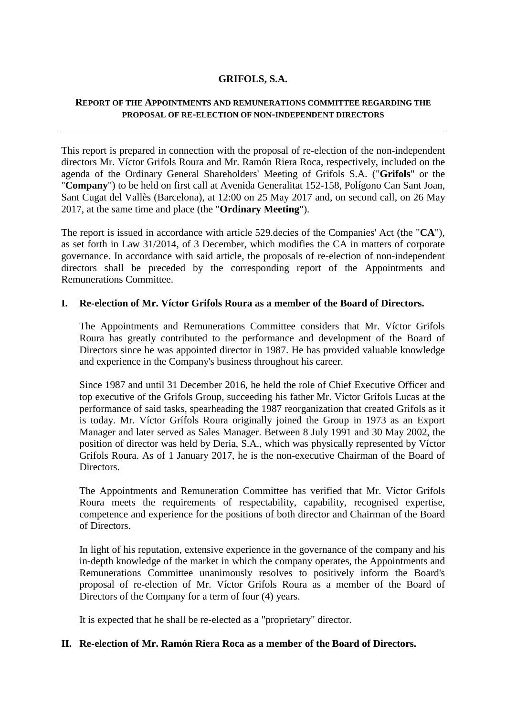## **GRIFOLS, S.A.**

### **REPORT OF THE APPOINTMENTS AND REMUNERATIONS COMMITTEE REGARDING THE PROPOSAL OF RE-ELECTION OF NON-INDEPENDENT DIRECTORS**

This report is prepared in connection with the proposal of re-election of the non-independent directors Mr. Víctor Grifols Roura and Mr. Ramón Riera Roca, respectively, included on the agenda of the Ordinary General Shareholders' Meeting of Grifols S.A. ("**Grifols**" or the "**Company**") to be held on first call at Avenida Generalitat 152-158, Polígono Can Sant Joan, Sant Cugat del Vallès (Barcelona), at 12:00 on 25 May 2017 and, on second call, on 26 May 2017, at the same time and place (the "**Ordinary Meeting**").

The report is issued in accordance with article 529.decies of the Companies' Act (the "**CA**"), as set forth in Law 31/2014, of 3 December, which modifies the CA in matters of corporate governance. In accordance with said article, the proposals of re-election of non-independent directors shall be preceded by the corresponding report of the Appointments and Remunerations Committee.

### **I. Re-election of Mr. Víctor Grifols Roura as a member of the Board of Directors.**

The Appointments and Remunerations Committee considers that Mr. Víctor Grifols Roura has greatly contributed to the performance and development of the Board of Directors since he was appointed director in 1987. He has provided valuable knowledge and experience in the Company's business throughout his career.

Since 1987 and until 31 December 2016, he held the role of Chief Executive Officer and top executive of the Grifols Group, succeeding his father Mr. Víctor Grífols Lucas at the performance of said tasks, spearheading the 1987 reorganization that created Grifols as it is today. Mr. Víctor Grífols Roura originally joined the Group in 1973 as an Export Manager and later served as Sales Manager. Between 8 July 1991 and 30 May 2002, the position of director was held by Deria, S.A., which was physically represented by Víctor Grifols Roura. As of 1 January 2017, he is the non-executive Chairman of the Board of Directors.

The Appointments and Remuneration Committee has verified that Mr. Víctor Grífols Roura meets the requirements of respectability, capability, recognised expertise, competence and experience for the positions of both director and Chairman of the Board of Directors.

In light of his reputation, extensive experience in the governance of the company and his in-depth knowledge of the market in which the company operates, the Appointments and Remunerations Committee unanimously resolves to positively inform the Board's proposal of re-election of Mr. Víctor Grifols Roura as a member of the Board of Directors of the Company for a term of four (4) years.

It is expected that he shall be re-elected as a "proprietary" director.

# **II. Re-election of Mr. Ramón Riera Roca as a member of the Board of Directors.**